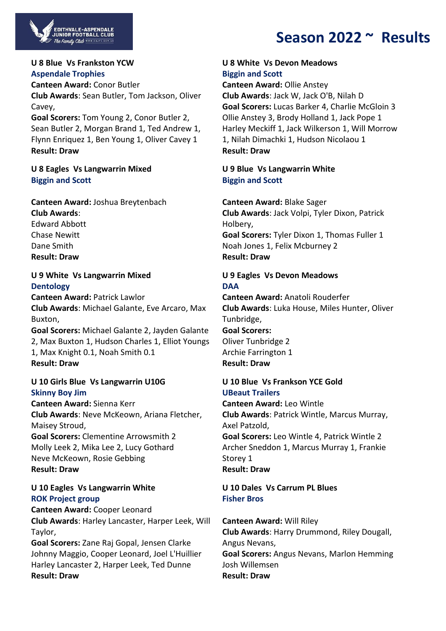

# **Season 2022 ~ Results**

#### **U 8 Blue Vs Frankston YCW Aspendale Trophies**

**Canteen Award:** Conor Butler **Club Awards**: Sean Butler, Tom Jackson, Oliver Cavey,

**Goal Scorers:** Tom Young 2, Conor Butler 2, Sean Butler 2, Morgan Brand 1, Ted Andrew 1, Flynn Enriquez 1, Ben Young 1, Oliver Cavey 1 **Result: Draw**

## **U 8 Eagles Vs Langwarrin Mixed Biggin and Scott**

**Canteen Award:** Joshua Breytenbach **Club Awards**: Edward Abbott Chase Newitt Dane Smith **Result: Draw**

## **U 9 White Vs Langwarrin Mixed Dentology**

**Canteen Award:** Patrick Lawlor **Club Awards**: Michael Galante, Eve Arcaro, Max Buxton, **Goal Scorers:** Michael Galante 2, Jayden Galante 2, Max Buxton 1, Hudson Charles 1, Elliot Youngs

1, Max Knight 0.1, Noah Smith 0.1 **Result: Draw**

## **U 10 Girls Blue Vs Langwarrin U10G Skinny Boy Jim**

**Canteen Award:** Sienna Kerr **Club Awards**: Neve McKeown, Ariana Fletcher, Maisey Stroud, **Goal Scorers:** Clementine Arrowsmith 2 Molly Leek 2, Mika Lee 2, Lucy Gothard Neve McKeown, Rosie Gebbing

**Result: Draw**

### **U 10 Eagles Vs Langwarrin White ROK Project group**

**Canteen Award:** Cooper Leonard **Club Awards**: Harley Lancaster, Harper Leek, Will Taylor,

**Goal Scorers:** Zane Raj Gopal, Jensen Clarke Johnny Maggio, Cooper Leonard, Joel L'Huillier Harley Lancaster 2, Harper Leek, Ted Dunne **Result: Draw**

#### **U 8 White Vs Devon Meadows Biggin and Scott**

**Canteen Award:** Ollie Anstey **Club Awards**: Jack W, Jack O'B, Nilah D **Goal Scorers:** Lucas Barker 4, Charlie McGloin 3 Ollie Anstey 3, Brody Holland 1, Jack Pope 1 Harley Meckiff 1, Jack Wilkerson 1, Will Morrow 1, Nilah Dimachki 1, Hudson Nicolaou 1 **Result: Draw**

## **U 9 Blue Vs Langwarrin White Biggin and Scott**

**Canteen Award:** Blake Sager **Club Awards**: Jack Volpi, Tyler Dixon, Patrick Holbery, **Goal Scorers:** Tyler Dixon 1, Thomas Fuller 1 Noah Jones 1, Felix Mcburney 2 **Result: Draw**

## **U 9 Eagles Vs Devon Meadows DAA**

**Canteen Award:** Anatoli Rouderfer **Club Awards**: Luka House, Miles Hunter, Oliver Tunbridge, **Goal Scorers:**

Oliver Tunbridge 2 Archie Farrington 1 **Result: Draw**

### **U 10 Blue Vs Frankson YCE Gold UBeaut Trailers**

**Canteen Award:** Leo Wintle **Club Awards**: Patrick Wintle, Marcus Murray, Axel Patzold, **Goal Scorers:** Leo Wintle 4, Patrick Wintle 2 Archer Sneddon 1, Marcus Murray 1, Frankie Storey 1 **Result: Draw**

## **U 10 Dales Vs Carrum PL Blues Fisher Bros**

**Canteen Award:** Will Riley **Club Awards**: Harry Drummond, Riley Dougall, Angus Nevans, **Goal Scorers:** Angus Nevans, Marlon Hemming Josh Willemsen **Result: Draw**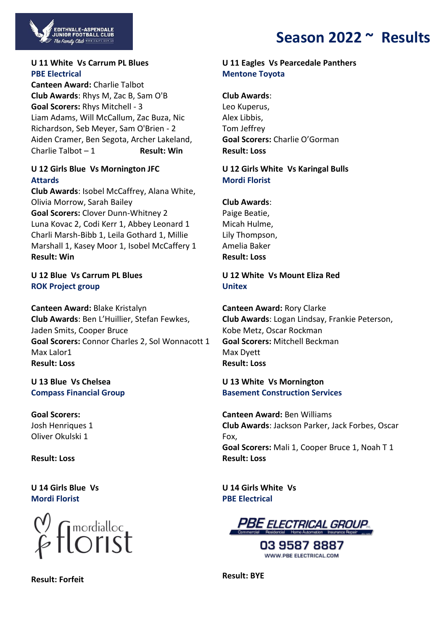

#### **U 11 White Vs Carrum PL Blues PBE Electrical**

,<br>EDITHVALE-ASPENDALE<br>JUNIOR FOOTBALL CLUB The Family Club **WWW.EASTG.co** 

**Canteen Award:** Charlie Talbot **Club Awards**: Rhys M, Zac B, Sam O'B **Goal Scorers:** Rhys Mitchell - 3 Liam Adams, Will McCallum, Zac Buza, Nic Richardson, Seb Meyer, Sam O'Brien - 2 Aiden Cramer, Ben Segota, Archer Lakeland, Charlie Talbot – 1 **Result: Win**

#### **U 12 Girls Blue Vs Mornington JFC Attards**

**Club Awards**: Isobel McCaffrey, Alana White, Olivia Morrow, Sarah Bailey **Goal Scorers:** Clover Dunn-Whitney 2 Luna Kovac 2, Codi Kerr 1, Abbey Leonard 1 Charli Marsh-Bibb 1, Leila Gothard 1, Millie Marshall 1, Kasey Moor 1, Isobel McCaffery 1 **Result: Win**

#### **U 12 Blue Vs Carrum PL Blues ROK Project group**

**Canteen Award:** Blake Kristalyn **Club Awards**: Ben L'Huillier, Stefan Fewkes, Jaden Smits, Cooper Bruce **Goal Scorers:** Connor Charles 2, Sol Wonnacott 1 Max Lalor1 **Result: Loss**

**U 13 Blue Vs Chelsea Compass Financial Group**

**Goal Scorers:** Josh Henriques 1 Oliver Okulski 1

**Result: Loss**

**U 14 Girls Blue Vs Mordi Florist**



**Result: Forfeit**

### **U 11 Eagles Vs Pearcedale Panthers Mentone Toyota**

**Club Awards**: Leo Kuperus, Alex Libbis, Tom Jeffrey **Goal Scorers:** Charlie O'Gorman **Result: Loss**

#### **U 12 Girls White Vs Karingal Bulls Mordi Florist**

#### **Club Awards**:

Paige Beatie, Micah Hulme, Lily Thompson, Amelia Baker **Result: Loss**

### **U 12 White Vs Mount Eliza Red Unitex**

**Canteen Award:** Rory Clarke **Club Awards**: Logan Lindsay, Frankie Peterson, Kobe Metz, Oscar Rockman **Goal Scorers:** Mitchell Beckman Max Dyett **Result: Loss**

### **U 13 White Vs Mornington Basement Construction Services**

**Canteen Award:** Ben Williams **Club Awards**: Jackson Parker, Jack Forbes, Oscar Fox, **Goal Scorers:** Mali 1, Cooper Bruce 1, Noah T 1 **Result: Loss**

**U 14 Girls White Vs PBE Electrical**



03 9587 8887 WWW.PBE ELECTRICAL.COM

**Result: BYE**